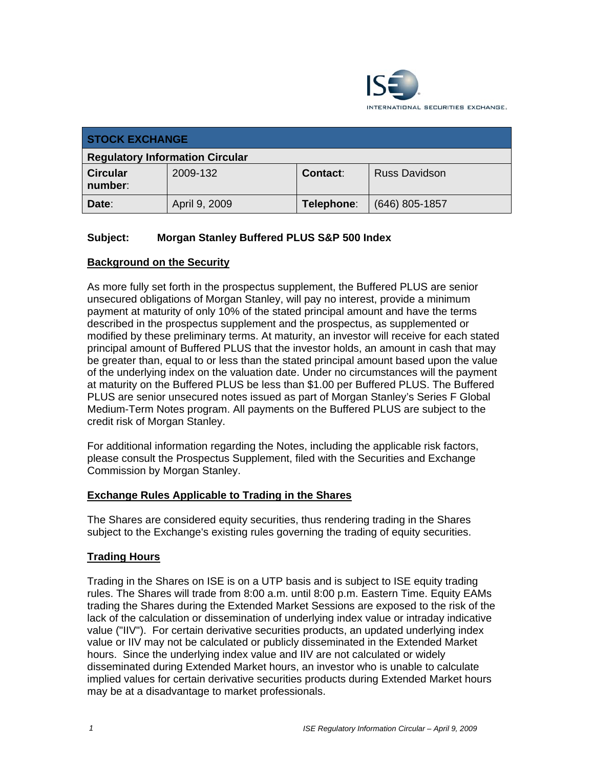

| <b>STOCK EXCHANGE</b>                  |               |            |                  |
|----------------------------------------|---------------|------------|------------------|
| <b>Regulatory Information Circular</b> |               |            |                  |
| <b>Circular</b><br>number:             | 2009-132      | Contact:   | Russ Davidson    |
| Date:                                  | April 9, 2009 | Telephone: | $(646)$ 805-1857 |

## **Subject: Morgan Stanley Buffered PLUS S&P 500 Index**

### **Background on the Security**

As more fully set forth in the prospectus supplement, the Buffered PLUS are senior unsecured obligations of Morgan Stanley, will pay no interest, provide a minimum payment at maturity of only 10% of the stated principal amount and have the terms described in the prospectus supplement and the prospectus, as supplemented or modified by these preliminary terms. At maturity, an investor will receive for each stated principal amount of Buffered PLUS that the investor holds, an amount in cash that may be greater than, equal to or less than the stated principal amount based upon the value of the underlying index on the valuation date. Under no circumstances will the payment at maturity on the Buffered PLUS be less than \$1.00 per Buffered PLUS. The Buffered PLUS are senior unsecured notes issued as part of Morgan Stanley's Series F Global Medium-Term Notes program. All payments on the Buffered PLUS are subject to the credit risk of Morgan Stanley.

For additional information regarding the Notes, including the applicable risk factors, please consult the Prospectus Supplement, filed with the Securities and Exchange Commission by Morgan Stanley.

### **Exchange Rules Applicable to Trading in the Shares**

The Shares are considered equity securities, thus rendering trading in the Shares subject to the Exchange's existing rules governing the trading of equity securities.

### **Trading Hours**

Trading in the Shares on ISE is on a UTP basis and is subject to ISE equity trading rules. The Shares will trade from 8:00 a.m. until 8:00 p.m. Eastern Time. Equity EAMs trading the Shares during the Extended Market Sessions are exposed to the risk of the lack of the calculation or dissemination of underlying index value or intraday indicative value ("IIV"). For certain derivative securities products, an updated underlying index value or IIV may not be calculated or publicly disseminated in the Extended Market hours. Since the underlying index value and IIV are not calculated or widely disseminated during Extended Market hours, an investor who is unable to calculate implied values for certain derivative securities products during Extended Market hours may be at a disadvantage to market professionals.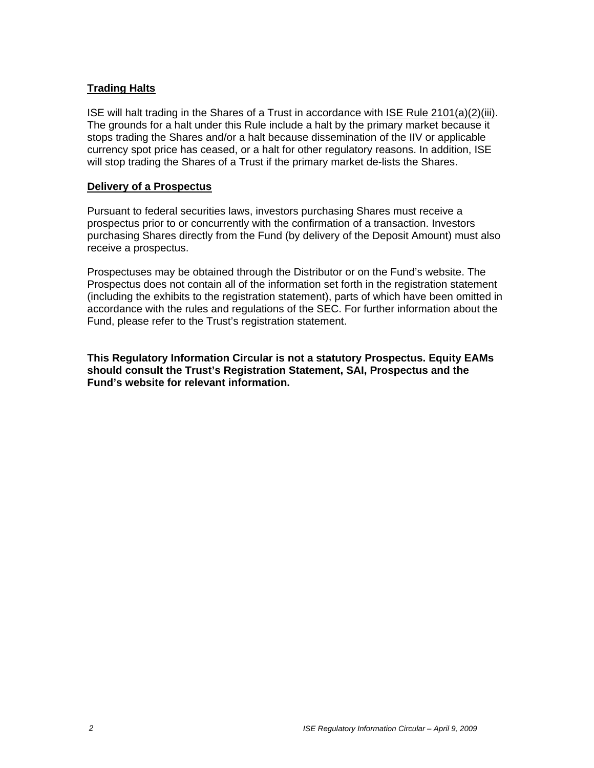### **Trading Halts**

ISE will halt trading in the Shares of a Trust in accordance with ISE Rule 2101(a)(2)(iii). The grounds for a halt under this Rule include a halt by the primary market because it stops trading the Shares and/or a halt because dissemination of the IIV or applicable currency spot price has ceased, or a halt for other regulatory reasons. In addition, ISE will stop trading the Shares of a Trust if the primary market de-lists the Shares.

#### **Delivery of a Prospectus**

Pursuant to federal securities laws, investors purchasing Shares must receive a prospectus prior to or concurrently with the confirmation of a transaction. Investors purchasing Shares directly from the Fund (by delivery of the Deposit Amount) must also receive a prospectus.

Prospectuses may be obtained through the Distributor or on the Fund's website. The Prospectus does not contain all of the information set forth in the registration statement (including the exhibits to the registration statement), parts of which have been omitted in accordance with the rules and regulations of the SEC. For further information about the Fund, please refer to the Trust's registration statement.

**This Regulatory Information Circular is not a statutory Prospectus. Equity EAMs should consult the Trust's Registration Statement, SAI, Prospectus and the Fund's website for relevant information.**